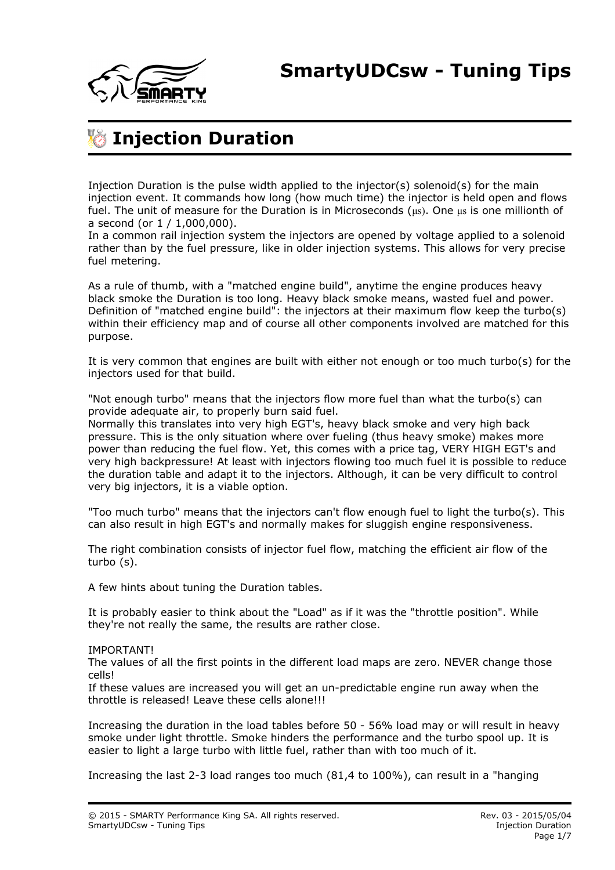

## **Injection Duration**

Injection Duration is the pulse width applied to the injector(s) solenoid(s) for the main injection event. It commands how long (how much time) the injector is held open and flows fuel. The unit of measure for the Duration is in Microseconds ( $\mu s$ ). One  $\mu s$  is one millionth of a second (or 1 / 1,000,000).

In a common rail injection system the injectors are opened by voltage applied to a solenoid rather than by the fuel pressure, like in older injection systems. This allows for very precise fuel metering.

As a rule of thumb, with a "matched engine build", anytime the engine produces heavy black smoke the Duration is too long. Heavy black smoke means, wasted fuel and power. Definition of "matched engine build": the injectors at their maximum flow keep the turbo(s) within their efficiency map and of course all other components involved are matched for this purpose.

It is very common that engines are built with either not enough or too much turbo(s) for the injectors used for that build.

"Not enough turbo" means that the injectors flow more fuel than what the turbo(s) can provide adequate air, to properly burn said fuel.

Normally this translates into very high EGT's, heavy black smoke and very high back pressure. This is the only situation where over fueling (thus heavy smoke) makes more power than reducing the fuel flow. Yet, this comes with a price tag, VERY HIGH EGT's and very high backpressure! At least with injectors flowing too much fuel it is possible to reduce the duration table and adapt it to the injectors. Although, it can be very difficult to control very big injectors, it is a viable option.

"Too much turbo" means that the injectors can't flow enough fuel to light the turbo(s). This can also result in high EGT's and normally makes for sluggish engine responsiveness.

The right combination consists of injector fuel flow, matching the efficient air flow of the turbo (s).

A few hints about tuning the Duration tables.

It is probably easier to think about the "Load" as if it was the "throttle position". While they're not really the same, the results are rather close.

#### IMPORTANT!

The values of all the first points in the different load maps are zero. NEVER change those cells!

If these values are increased you will get an un-predictable engine run away when the throttle is released! Leave these cells alone!!!

Increasing the duration in the load tables before 50 - 56% load may or will result in heavy smoke under light throttle. Smoke hinders the performance and the turbo spool up. It is easier to light a large turbo with little fuel, rather than with too much of it.

Increasing the last 2-3 load ranges too much (81,4 to 100%), can result in a "hanging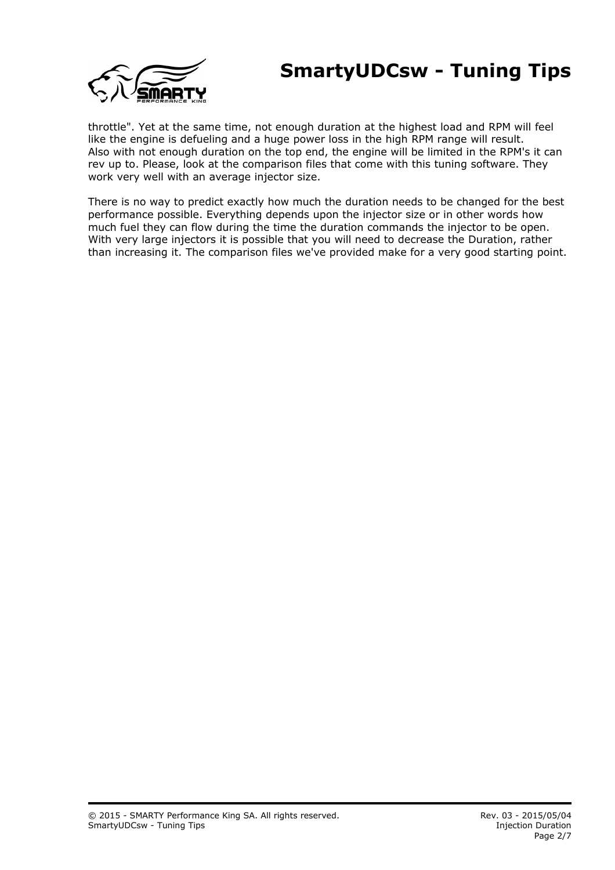### **SmartyUDCsw - Tuning Tips**



throttle". Yet at the same time, not enough duration at the highest load and RPM will feel like the engine is defueling and a huge power loss in the high RPM range will result. Also with not enough duration on the top end, the engine will be limited in the RPM's it can rev up to. Please, look at the comparison files that come with this tuning software. They work very well with an average injector size.

There is no way to predict exactly how much the duration needs to be changed for the best performance possible. Everything depends upon the injector size or in other words how much fuel they can flow during the time the duration commands the injector to be open. With very large injectors it is possible that you will need to decrease the Duration, rather than increasing it. The comparison files we've provided make for a very good starting point.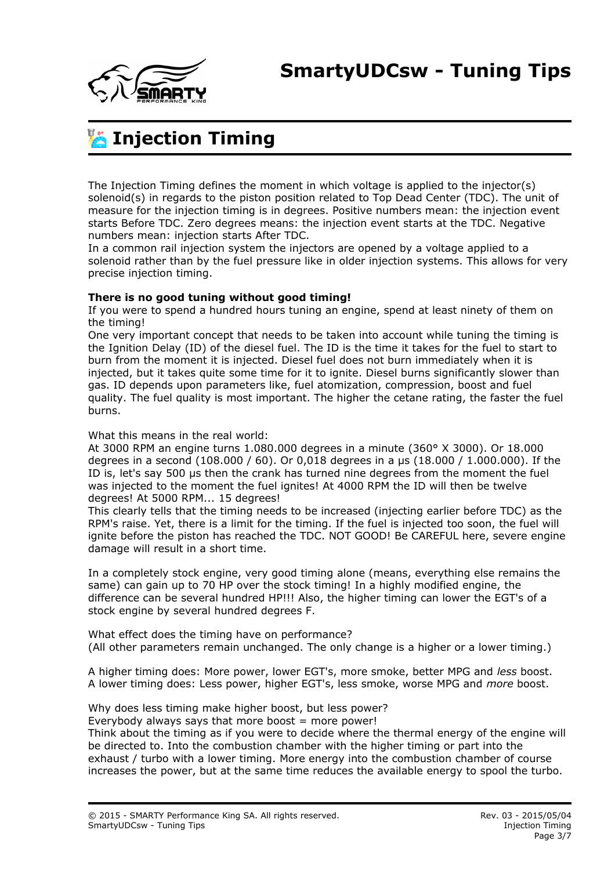

# **Injection Timing**

The Injection Timing defines the moment in which voltage is applied to the injector(s) solenoid(s) in regards to the piston position related to Top Dead Center (TDC). The unit of measure for the injection timing is in degrees. Positive numbers mean: the injection event starts Before TDC. Zero degrees means: the injection event starts at the TDC. Negative numbers mean: injection starts After TDC.

In a common rail injection system the injectors are opened by a voltage applied to a solenoid rather than by the fuel pressure like in older injection systems. This allows for very precise injection timing.

#### **There is no good tuning without good timing!**

If you were to spend a hundred hours tuning an engine, spend at least ninety of them on the timing!

One very important concept that needs to be taken into account while tuning the timing is the Ignition Delay (ID) of the diesel fuel. The ID is the time it takes for the fuel to start to burn from the moment it is injected. Diesel fuel does not burn immediately when it is injected, but it takes quite some time for it to ignite. Diesel burns significantly slower than gas. ID depends upon parameters like, fuel atomization, compression, boost and fuel quality. The fuel quality is most important. The higher the cetane rating, the faster the fuel burns.

#### What this means in the real world:

At 3000 RPM an engine turns 1.080.000 degrees in a minute (360° X 3000). Or 18.000 degrees in a second (108.000 / 60). Or 0,018 degrees in a μs (18.000 / 1.000.000). If the ID is, let's say 500 μs then the crank has turned nine degrees from the moment the fuel was injected to the moment the fuel ignites! At 4000 RPM the ID will then be twelve degrees! At 5000 RPM... 15 degrees!

This clearly tells that the timing needs to be increased (injecting earlier before TDC) as the RPM's raise. Yet, there is a limit for the timing. If the fuel is injected too soon, the fuel will ignite before the piston has reached the TDC. NOT GOOD! Be CAREFUL here, severe engine damage will result in a short time.

In a completely stock engine, very good timing alone (means, everything else remains the same) can gain up to 70 HP over the stock timing! In a highly modified engine, the difference can be several hundred HP!!! Also, the higher timing can lower the EGT's of a stock engine by several hundred degrees F.

What effect does the timing have on performance? (All other parameters remain unchanged. The only change is a higher or a lower timing.)

A higher timing does: More power, lower EGT's, more smoke, better MPG and *less* boost. A lower timing does: Less power, higher EGT's, less smoke, worse MPG and *more* boost.

Why does less timing make higher boost, but less power? Everybody always says that more boost  $=$  more power!

Think about the timing as if you were to decide where the thermal energy of the engine will be directed to. Into the combustion chamber with the higher timing or part into the exhaust / turbo with a lower timing. More energy into the combustion chamber of course increases the power, but at the same time reduces the available energy to spool the turbo.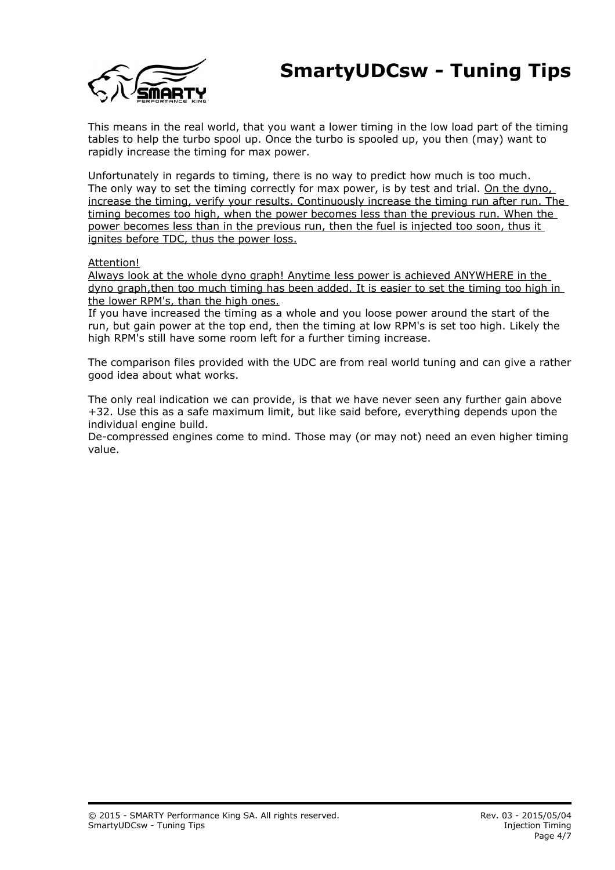### **SmartyUDCsw - Tuning Tips**



This means in the real world, that you want a lower timing in the low load part of the timing tables to help the turbo spool up. Once the turbo is spooled up, you then (may) want to rapidly increase the timing for max power.

Unfortunately in regards to timing, there is no way to predict how much is too much. The only way to set the timing correctly for max power, is by test and trial. On the dyno, increase the timing, verify your results. Continuously increase the timing run after run. The timing becomes too high, when the power becomes less than the previous run. When the power becomes less than in the previous run, then the fuel is injected too soon, thus it ignites before TDC, thus the power loss.

#### Attention!

Always look at the whole dyno graph! Anytime less power is achieved ANYWHERE in the dyno graph,then too much timing has been added. It is easier to set the timing too high in the lower RPM's, than the high ones.

If you have increased the timing as a whole and you loose power around the start of the run, but gain power at the top end, then the timing at low RPM's is set too high. Likely the high RPM's still have some room left for a further timing increase.

The comparison files provided with the UDC are from real world tuning and can give a rather good idea about what works.

The only real indication we can provide, is that we have never seen any further gain above +32. Use this as a safe maximum limit, but like said before, everything depends upon the individual engine build.

De-compressed engines come to mind. Those may (or may not) need an even higher timing value.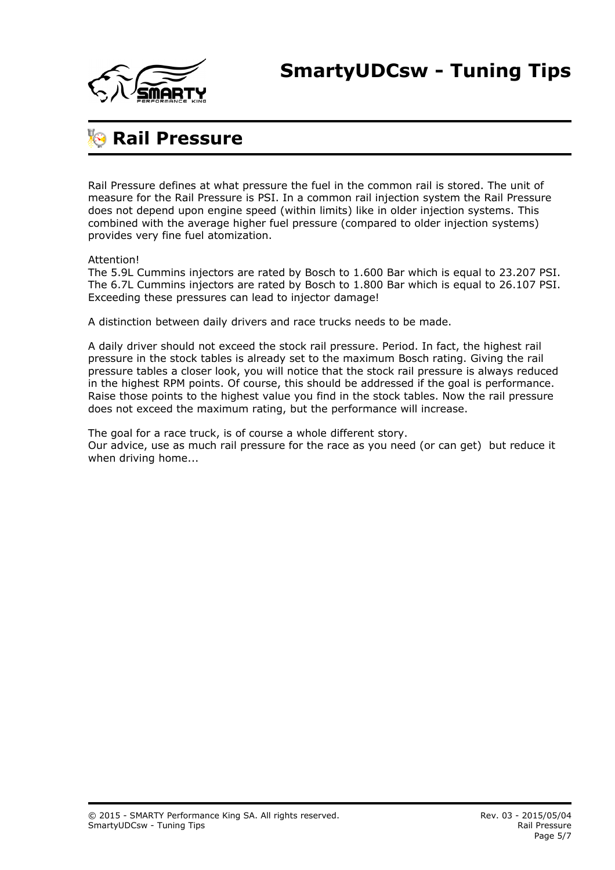

### **Rail Pressure**

Rail Pressure defines at what pressure the fuel in the common rail is stored. The unit of measure for the Rail Pressure is PSI. In a common rail injection system the Rail Pressure does not depend upon engine speed (within limits) like in older injection systems. This combined with the average higher fuel pressure (compared to older injection systems) provides very fine fuel atomization.

Attention!

The 5.9L Cummins injectors are rated by Bosch to 1.600 Bar which is equal to 23.207 PSI. The 6.7L Cummins injectors are rated by Bosch to 1.800 Bar which is equal to 26.107 PSI. Exceeding these pressures can lead to injector damage!

A distinction between daily drivers and race trucks needs to be made.

A daily driver should not exceed the stock rail pressure. Period. In fact, the highest rail pressure in the stock tables is already set to the maximum Bosch rating. Giving the rail pressure tables a closer look, you will notice that the stock rail pressure is always reduced in the highest RPM points. Of course, this should be addressed if the goal is performance. Raise those points to the highest value you find in the stock tables. Now the rail pressure does not exceed the maximum rating, but the performance will increase.

The goal for a race truck, is of course a whole different story. Our advice, use as much rail pressure for the race as you need (or can get) but reduce it when driving home...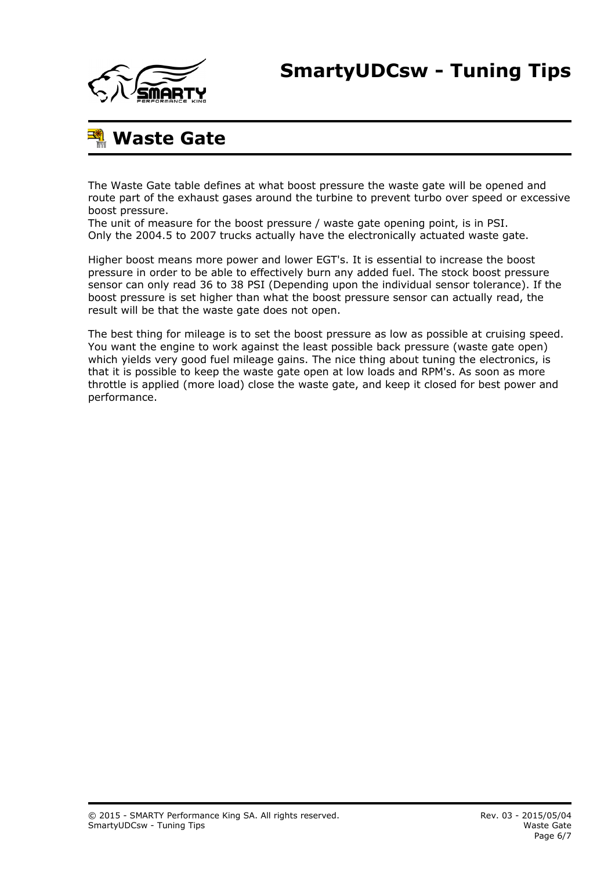

# **Waste Gate**

The Waste Gate table defines at what boost pressure the waste gate will be opened and route part of the exhaust gases around the turbine to prevent turbo over speed or excessive boost pressure.

The unit of measure for the boost pressure / waste gate opening point, is in PSI. Only the 2004.5 to 2007 trucks actually have the electronically actuated waste gate.

Higher boost means more power and lower EGT's. It is essential to increase the boost pressure in order to be able to effectively burn any added fuel. The stock boost pressure sensor can only read 36 to 38 PSI (Depending upon the individual sensor tolerance). If the boost pressure is set higher than what the boost pressure sensor can actually read, the result will be that the waste gate does not open.

The best thing for mileage is to set the boost pressure as low as possible at cruising speed. You want the engine to work against the least possible back pressure (waste gate open) which yields very good fuel mileage gains. The nice thing about tuning the electronics, is that it is possible to keep the waste gate open at low loads and RPM's. As soon as more throttle is applied (more load) close the waste gate, and keep it closed for best power and performance.